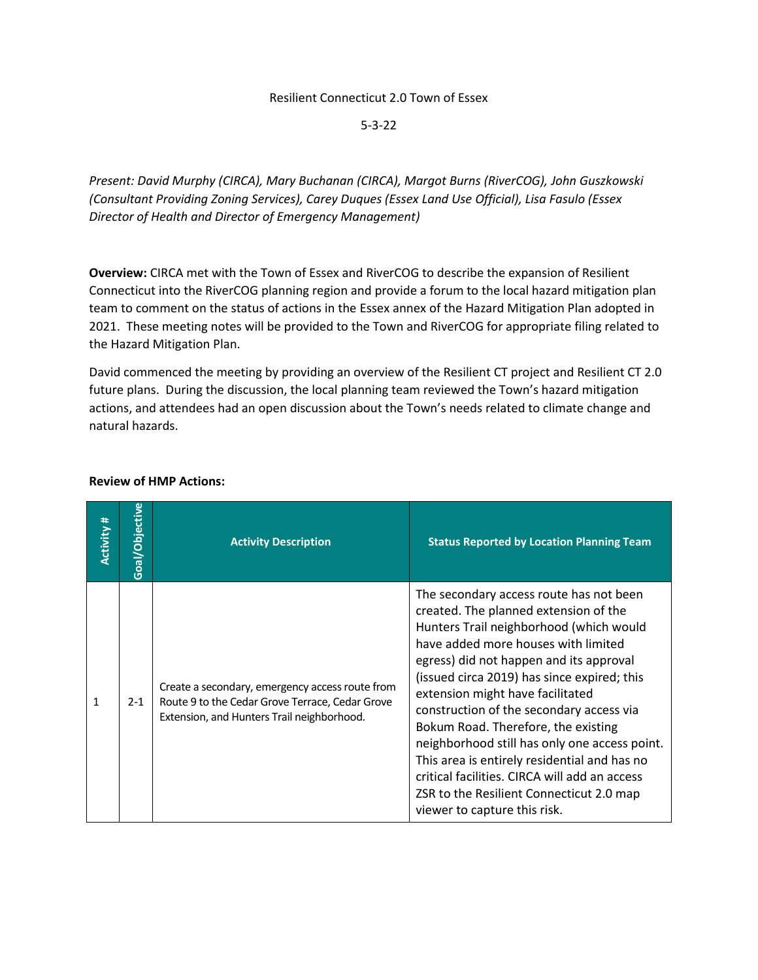## Resilient Connecticut 2.0 Town of Essex

5-3-22

*Present: David Murphy (CIRCA), Mary Buchanan (CIRCA), Margot Burns (RiverCOG), John Guszkowski (Consultant Providing Zoning Services), Carey Duques (Essex Land Use Official), Lisa Fasulo (Essex Director of Health and Director of Emergency Management)*

**Overview:** CIRCA met with the Town of Essex and RiverCOG to describe the expansion of Resilient Connecticut into the RiverCOG planning region and provide a forum to the local hazard mitigation plan team to comment on the status of actions in the Essex annex of the Hazard Mitigation Plan adopted in 2021. These meeting notes will be provided to the Town and RiverCOG for appropriate filing related to the Hazard Mitigation Plan.

David commenced the meeting by providing an overview of the Resilient CT project and Resilient CT 2.0 future plans. During the discussion, the local planning team reviewed the Town's hazard mitigation actions, and attendees had an open discussion about the Town's needs related to climate change and natural hazards.

| <b>Activity #</b> | Goal/Objective | <b>Activity Description</b>                                                                                                                      | <b>Status Reported by Location Planning Team</b>                                                                                                                                                                                                                                                                                                                                                                                                                                                                                                                                                                  |
|-------------------|----------------|--------------------------------------------------------------------------------------------------------------------------------------------------|-------------------------------------------------------------------------------------------------------------------------------------------------------------------------------------------------------------------------------------------------------------------------------------------------------------------------------------------------------------------------------------------------------------------------------------------------------------------------------------------------------------------------------------------------------------------------------------------------------------------|
| 1                 | $2 - 1$        | Create a secondary, emergency access route from<br>Route 9 to the Cedar Grove Terrace, Cedar Grove<br>Extension, and Hunters Trail neighborhood. | The secondary access route has not been<br>created. The planned extension of the<br>Hunters Trail neighborhood (which would<br>have added more houses with limited<br>egress) did not happen and its approval<br>(issued circa 2019) has since expired; this<br>extension might have facilitated<br>construction of the secondary access via<br>Bokum Road. Therefore, the existing<br>neighborhood still has only one access point.<br>This area is entirely residential and has no<br>critical facilities. CIRCA will add an access<br>ZSR to the Resilient Connecticut 2.0 map<br>viewer to capture this risk. |

## **Review of HMP Actions:**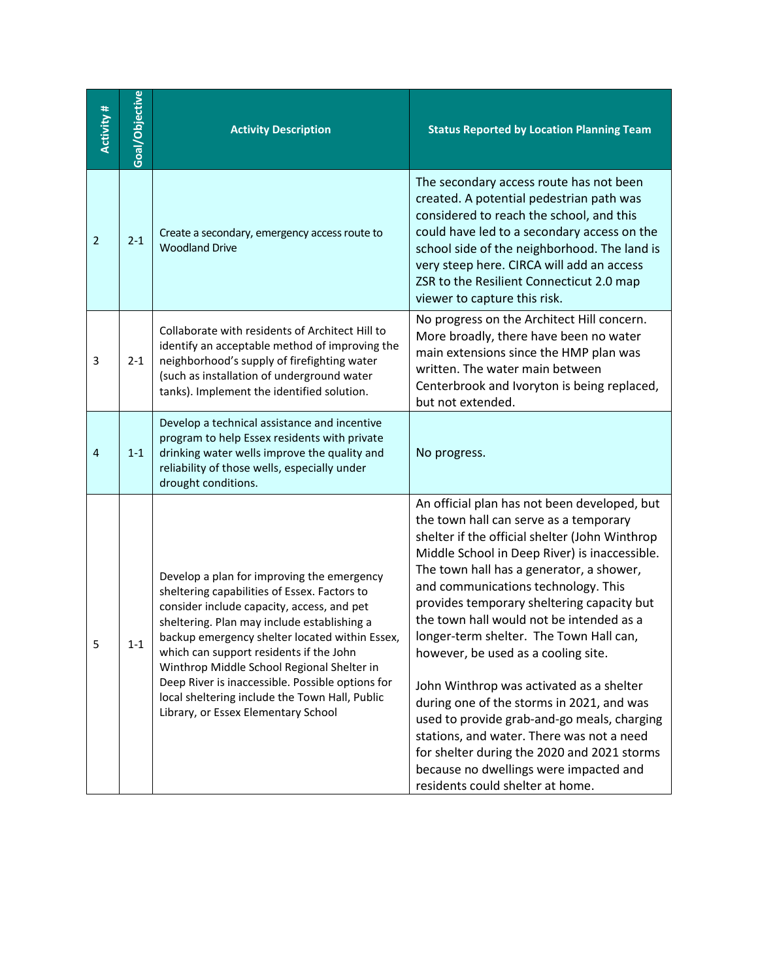| <b>Activity #</b> | Goal/Objective | <b>Activity Description</b>                                                                                                                                                                                                                                                                                                                                                                                                                                                     | <b>Status Reported by Location Planning Team</b>                                                                                                                                                                                                                                                                                                                                                                                                                                                                                                                                                                                                                                                                                                                           |
|-------------------|----------------|---------------------------------------------------------------------------------------------------------------------------------------------------------------------------------------------------------------------------------------------------------------------------------------------------------------------------------------------------------------------------------------------------------------------------------------------------------------------------------|----------------------------------------------------------------------------------------------------------------------------------------------------------------------------------------------------------------------------------------------------------------------------------------------------------------------------------------------------------------------------------------------------------------------------------------------------------------------------------------------------------------------------------------------------------------------------------------------------------------------------------------------------------------------------------------------------------------------------------------------------------------------------|
| $\overline{2}$    | $2 - 1$        | Create a secondary, emergency access route to<br><b>Woodland Drive</b>                                                                                                                                                                                                                                                                                                                                                                                                          | The secondary access route has not been<br>created. A potential pedestrian path was<br>considered to reach the school, and this<br>could have led to a secondary access on the<br>school side of the neighborhood. The land is<br>very steep here. CIRCA will add an access<br>ZSR to the Resilient Connecticut 2.0 map<br>viewer to capture this risk.                                                                                                                                                                                                                                                                                                                                                                                                                    |
| 3                 | $2 - 1$        | Collaborate with residents of Architect Hill to<br>identify an acceptable method of improving the<br>neighborhood's supply of firefighting water<br>(such as installation of underground water<br>tanks). Implement the identified solution.                                                                                                                                                                                                                                    | No progress on the Architect Hill concern.<br>More broadly, there have been no water<br>main extensions since the HMP plan was<br>written. The water main between<br>Centerbrook and Ivoryton is being replaced,<br>but not extended.                                                                                                                                                                                                                                                                                                                                                                                                                                                                                                                                      |
| 4                 | $1 - 1$        | Develop a technical assistance and incentive<br>program to help Essex residents with private<br>drinking water wells improve the quality and<br>reliability of those wells, especially under<br>drought conditions.                                                                                                                                                                                                                                                             | No progress.                                                                                                                                                                                                                                                                                                                                                                                                                                                                                                                                                                                                                                                                                                                                                               |
| 5                 | $1 - 1$        | Develop a plan for improving the emergency<br>sheltering capabilities of Essex. Factors to<br>consider include capacity, access, and pet<br>sheltering. Plan may include establishing a<br>backup emergency shelter located within Essex,<br>which can support residents if the John<br>Winthrop Middle School Regional Shelter in<br>Deep River is inaccessible. Possible options for<br>local sheltering include the Town Hall, Public<br>Library, or Essex Elementary School | An official plan has not been developed, but<br>the town hall can serve as a temporary<br>shelter if the official shelter (John Winthrop<br>Middle School in Deep River) is inaccessible.<br>The town hall has a generator, a shower,<br>and communications technology. This<br>provides temporary sheltering capacity but<br>the town hall would not be intended as a<br>longer-term shelter. The Town Hall can,<br>however, be used as a cooling site.<br>John Winthrop was activated as a shelter<br>during one of the storms in 2021, and was<br>used to provide grab-and-go meals, charging<br>stations, and water. There was not a need<br>for shelter during the 2020 and 2021 storms<br>because no dwellings were impacted and<br>residents could shelter at home. |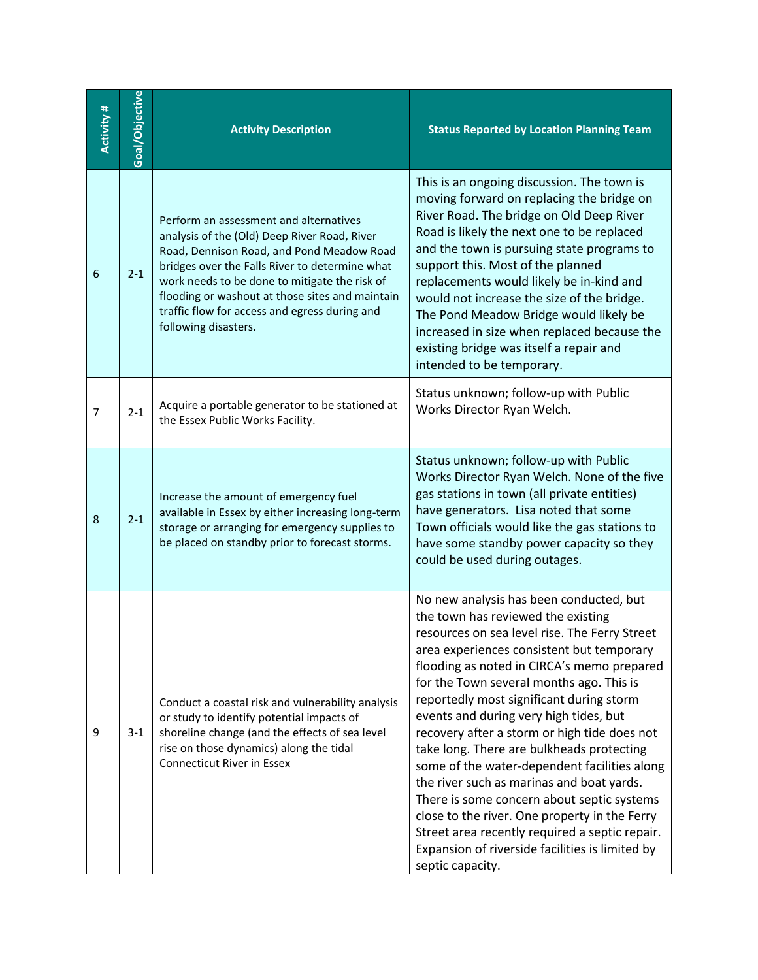| <b>Activity#</b> | Goal/Objective | <b>Activity Description</b>                                                                                                                                                                                                                                                                                                                                        | <b>Status Reported by Location Planning Team</b>                                                                                                                                                                                                                                                                                                                                                                                                                                                                                                                                                                                                                                                                                                                              |
|------------------|----------------|--------------------------------------------------------------------------------------------------------------------------------------------------------------------------------------------------------------------------------------------------------------------------------------------------------------------------------------------------------------------|-------------------------------------------------------------------------------------------------------------------------------------------------------------------------------------------------------------------------------------------------------------------------------------------------------------------------------------------------------------------------------------------------------------------------------------------------------------------------------------------------------------------------------------------------------------------------------------------------------------------------------------------------------------------------------------------------------------------------------------------------------------------------------|
| 6                | $2 - 1$        | Perform an assessment and alternatives<br>analysis of the (Old) Deep River Road, River<br>Road, Dennison Road, and Pond Meadow Road<br>bridges over the Falls River to determine what<br>work needs to be done to mitigate the risk of<br>flooding or washout at those sites and maintain<br>traffic flow for access and egress during and<br>following disasters. | This is an ongoing discussion. The town is<br>moving forward on replacing the bridge on<br>River Road. The bridge on Old Deep River<br>Road is likely the next one to be replaced<br>and the town is pursuing state programs to<br>support this. Most of the planned<br>replacements would likely be in-kind and<br>would not increase the size of the bridge.<br>The Pond Meadow Bridge would likely be<br>increased in size when replaced because the<br>existing bridge was itself a repair and<br>intended to be temporary.                                                                                                                                                                                                                                               |
| 7                | $2 - 1$        | Acquire a portable generator to be stationed at<br>the Essex Public Works Facility.                                                                                                                                                                                                                                                                                | Status unknown; follow-up with Public<br>Works Director Ryan Welch.                                                                                                                                                                                                                                                                                                                                                                                                                                                                                                                                                                                                                                                                                                           |
| 8                | $2 - 1$        | Increase the amount of emergency fuel<br>available in Essex by either increasing long-term<br>storage or arranging for emergency supplies to<br>be placed on standby prior to forecast storms.                                                                                                                                                                     | Status unknown; follow-up with Public<br>Works Director Ryan Welch. None of the five<br>gas stations in town (all private entities)<br>have generators. Lisa noted that some<br>Town officials would like the gas stations to<br>have some standby power capacity so they<br>could be used during outages.                                                                                                                                                                                                                                                                                                                                                                                                                                                                    |
| 9                | $3-1$          | Conduct a coastal risk and vulnerability analysis<br>or study to identify potential impacts of<br>shoreline change (and the effects of sea level<br>rise on those dynamics) along the tidal<br><b>Connecticut River in Essex</b>                                                                                                                                   | No new analysis has been conducted, but<br>the town has reviewed the existing<br>resources on sea level rise. The Ferry Street<br>area experiences consistent but temporary<br>flooding as noted in CIRCA's memo prepared<br>for the Town several months ago. This is<br>reportedly most significant during storm<br>events and during very high tides, but<br>recovery after a storm or high tide does not<br>take long. There are bulkheads protecting<br>some of the water-dependent facilities along<br>the river such as marinas and boat yards.<br>There is some concern about septic systems<br>close to the river. One property in the Ferry<br>Street area recently required a septic repair.<br>Expansion of riverside facilities is limited by<br>septic capacity. |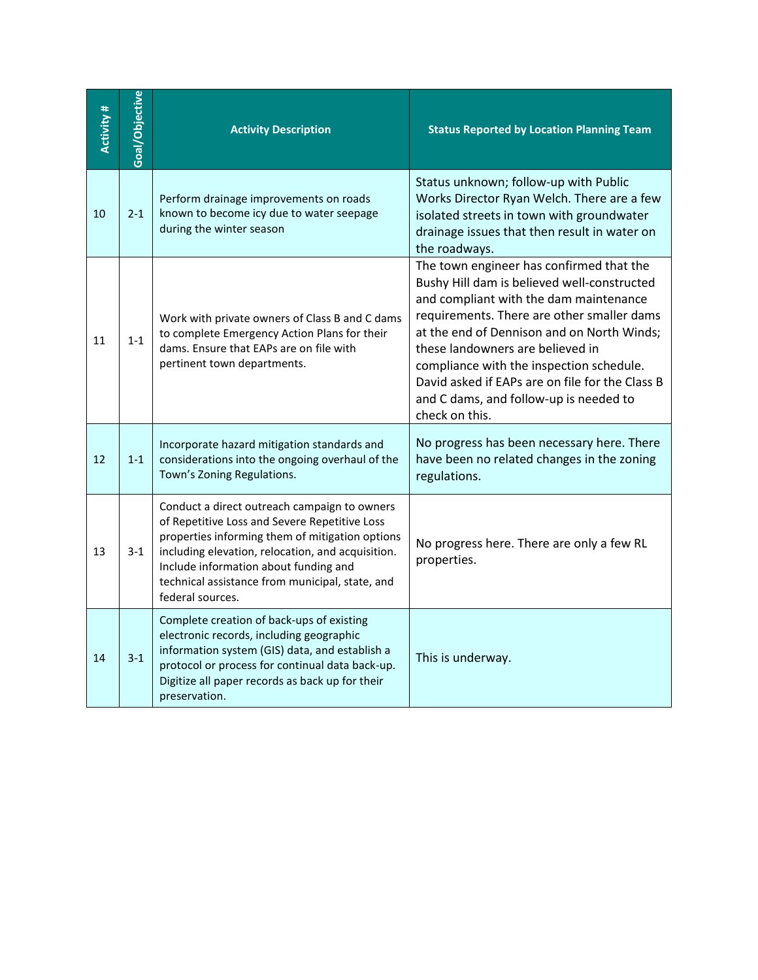| <b>Activity#</b> | Goal/Objective | <b>Activity Description</b>                                                                                                                                                                                                                                                                                           | <b>Status Reported by Location Planning Team</b>                                                                                                                                                                                                                                                                                                                                                                             |
|------------------|----------------|-----------------------------------------------------------------------------------------------------------------------------------------------------------------------------------------------------------------------------------------------------------------------------------------------------------------------|------------------------------------------------------------------------------------------------------------------------------------------------------------------------------------------------------------------------------------------------------------------------------------------------------------------------------------------------------------------------------------------------------------------------------|
| 10               | $2 - 1$        | Perform drainage improvements on roads<br>known to become icy due to water seepage<br>during the winter season                                                                                                                                                                                                        | Status unknown; follow-up with Public<br>Works Director Ryan Welch. There are a few<br>isolated streets in town with groundwater<br>drainage issues that then result in water on<br>the roadways.                                                                                                                                                                                                                            |
| 11               | $1 - 1$        | Work with private owners of Class B and C dams<br>to complete Emergency Action Plans for their<br>dams. Ensure that EAPs are on file with<br>pertinent town departments.                                                                                                                                              | The town engineer has confirmed that the<br>Bushy Hill dam is believed well-constructed<br>and compliant with the dam maintenance<br>requirements. There are other smaller dams<br>at the end of Dennison and on North Winds;<br>these landowners are believed in<br>compliance with the inspection schedule.<br>David asked if EAPs are on file for the Class B<br>and C dams, and follow-up is needed to<br>check on this. |
| 12               | $1 - 1$        | Incorporate hazard mitigation standards and<br>considerations into the ongoing overhaul of the<br>Town's Zoning Regulations.                                                                                                                                                                                          | No progress has been necessary here. There<br>have been no related changes in the zoning<br>regulations.                                                                                                                                                                                                                                                                                                                     |
| 13               | $3-1$          | Conduct a direct outreach campaign to owners<br>of Repetitive Loss and Severe Repetitive Loss<br>properties informing them of mitigation options<br>including elevation, relocation, and acquisition.<br>Include information about funding and<br>technical assistance from municipal, state, and<br>federal sources. | No progress here. There are only a few RL<br>properties.                                                                                                                                                                                                                                                                                                                                                                     |
| 14               | $3-1$          | Complete creation of back-ups of existing<br>electronic records, including geographic<br>information system (GIS) data, and establish a<br>protocol or process for continual data back-up.<br>Digitize all paper records as back up for their<br>preservation.                                                        | This is underway.                                                                                                                                                                                                                                                                                                                                                                                                            |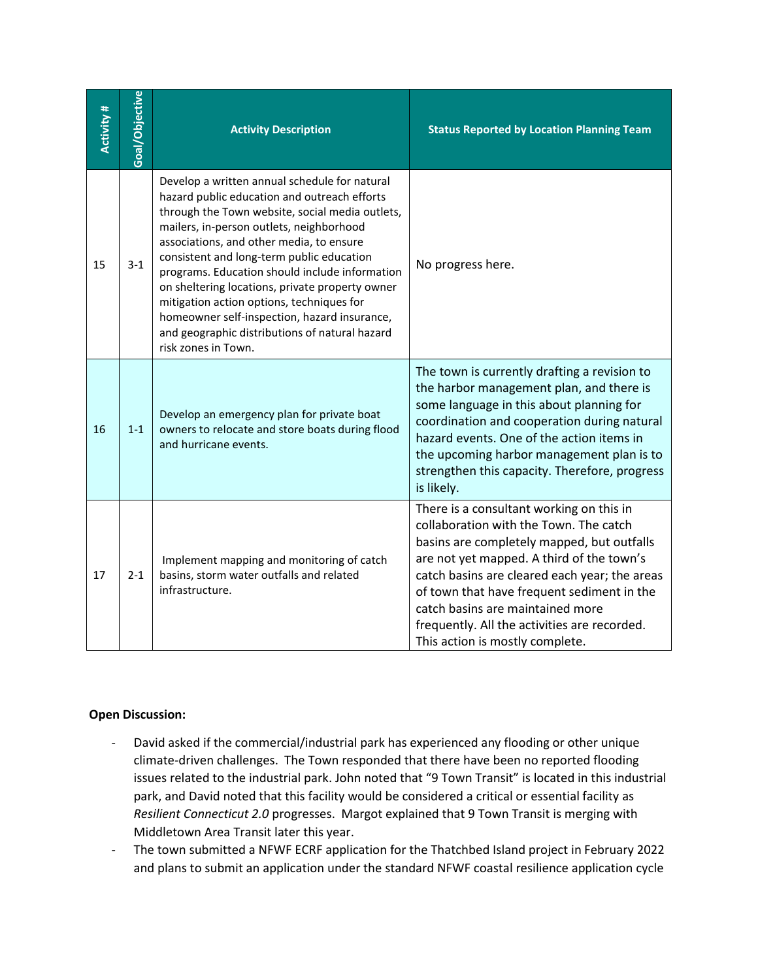| Activity # | Goal/Objective | <b>Activity Description</b>                                                                                                                                                                                                                                                                                                                                                                                                                                                                                                                                      | <b>Status Reported by Location Planning Team</b>                                                                                                                                                                                                                                                                                                                                                    |
|------------|----------------|------------------------------------------------------------------------------------------------------------------------------------------------------------------------------------------------------------------------------------------------------------------------------------------------------------------------------------------------------------------------------------------------------------------------------------------------------------------------------------------------------------------------------------------------------------------|-----------------------------------------------------------------------------------------------------------------------------------------------------------------------------------------------------------------------------------------------------------------------------------------------------------------------------------------------------------------------------------------------------|
| 15         | $3 - 1$        | Develop a written annual schedule for natural<br>hazard public education and outreach efforts<br>through the Town website, social media outlets,<br>mailers, in-person outlets, neighborhood<br>associations, and other media, to ensure<br>consistent and long-term public education<br>programs. Education should include information<br>on sheltering locations, private property owner<br>mitigation action options, techniques for<br>homeowner self-inspection, hazard insurance,<br>and geographic distributions of natural hazard<br>risk zones in Town. | No progress here.                                                                                                                                                                                                                                                                                                                                                                                   |
| 16         | $1 - 1$        | Develop an emergency plan for private boat<br>owners to relocate and store boats during flood<br>and hurricane events.                                                                                                                                                                                                                                                                                                                                                                                                                                           | The town is currently drafting a revision to<br>the harbor management plan, and there is<br>some language in this about planning for<br>coordination and cooperation during natural<br>hazard events. One of the action items in<br>the upcoming harbor management plan is to<br>strengthen this capacity. Therefore, progress<br>is likely.                                                        |
| 17         | $2 - 1$        | Implement mapping and monitoring of catch<br>basins, storm water outfalls and related<br>infrastructure.                                                                                                                                                                                                                                                                                                                                                                                                                                                         | There is a consultant working on this in<br>collaboration with the Town. The catch<br>basins are completely mapped, but outfalls<br>are not yet mapped. A third of the town's<br>catch basins are cleared each year; the areas<br>of town that have frequent sediment in the<br>catch basins are maintained more<br>frequently. All the activities are recorded.<br>This action is mostly complete. |

## **Open Discussion:**

- David asked if the commercial/industrial park has experienced any flooding or other unique climate-driven challenges. The Town responded that there have been no reported flooding issues related to the industrial park. John noted that "9 Town Transit" is located in this industrial park, and David noted that this facility would be considered a critical or essential facility as *Resilient Connecticut 2.0* progresses. Margot explained that 9 Town Transit is merging with Middletown Area Transit later this year.
- The town submitted a NFWF ECRF application for the Thatchbed Island project in February 2022 and plans to submit an application under the standard NFWF coastal resilience application cycle